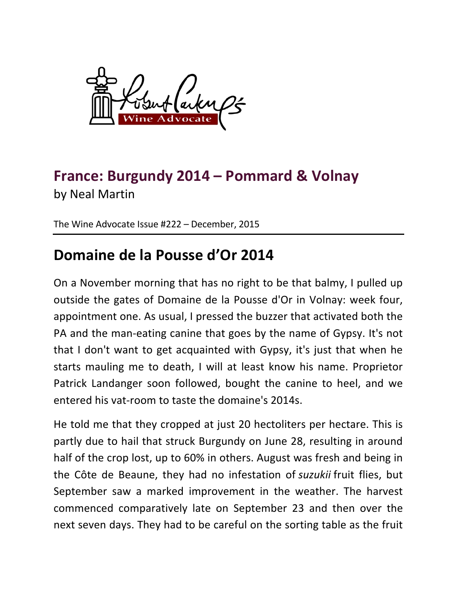

## **France: Burgundy 2014 – Pommard & Volnay** by Neal Martin

The Wine Advocate Issue #222 - December, 2015

## **Domaine de la Pousse d'Or 2014**

On a November morning that has no right to be that balmy, I pulled up outside the gates of Domaine de la Pousse d'Or in Volnay: week four, appointment one. As usual, I pressed the buzzer that activated both the PA and the man-eating canine that goes by the name of Gypsy. It's not that I don't want to get acquainted with Gypsy, it's just that when he starts mauling me to death, I will at least know his name. Proprietor Patrick Landanger soon followed, bought the canine to heel, and we entered his vat-room to taste the domaine's 2014s.

He told me that they cropped at just 20 hectoliters per hectare. This is partly due to hail that struck Burgundy on June 28, resulting in around half of the crop lost, up to 60% in others. August was fresh and being in the Côte de Beaune, they had no infestation of *suzukii* fruit flies, but September saw a marked improvement in the weather. The harvest commenced comparatively late on September 23 and then over the next seven days. They had to be careful on the sorting table as the fruit